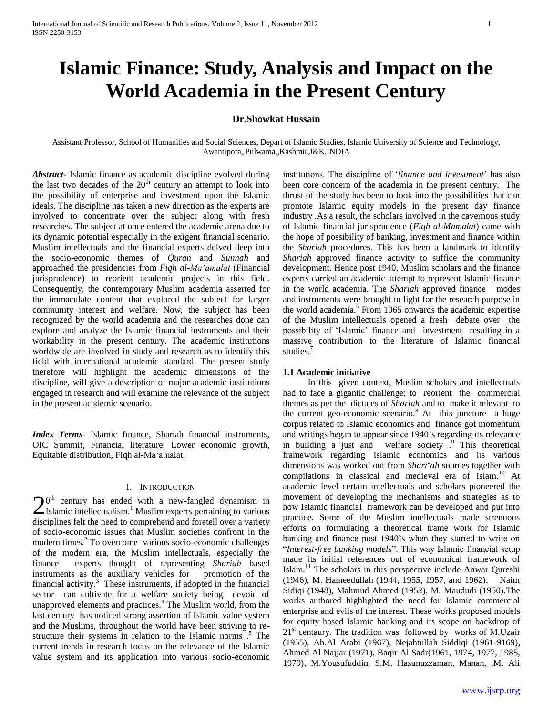# **Islamic Finance: Study, Analysis and Impact on the World Academia in the Present Century**

# **Dr.Showkat Hussain**

Assistant Professor, School of Humanities and Social Sciences, Depart of Islamic Studies, Islamic University of Science and Technology, Awantipora, Pulwama,,Kashmir,J&K,INDIA

*Abstract***-** Islamic finance as academic discipline evolved during the last two decades of the  $20<sup>th</sup>$  century an attempt to look into the possibility of enterprise and investment upon the Islamic ideals. The discipline has taken a new direction as the experts are involved to concentrate over the subject along with fresh researches. The subject at once entered the academic arena due to its dynamic potential especially in the exigent financial scenario. Muslim intellectuals and the financial experts delved deep into the socio-economic themes of *Quran* and *Sunnah* and approached the presidencies from *Fiqh al-Ma'amalat* (Financial jurisprudence) to reorient academic projects in this field. Consequently, the contemporary Muslim academia asserted for the immaculate content that explored the subject for larger community interest and welfare. Now, the subject has been recognized by the world academia and the researches done can explore and analyze the Islamic financial instruments and their workability in the present century. The academic institutions worldwide are involved in study and research as to identify this field with international academic standard. The present study therefore will highlight the academic dimensions of the discipline, will give a description of major academic institutions engaged in research and will examine the relevance of the subject in the present academic scenario.

*Index Terms*- Islamic finance, Shariah financial instruments, OIC Summit, Financial literature, Lower economic growth, Equitable distribution, Fiqh al-Ma"amalat,

# I. INTRODUCTION

 $0<sup>th</sup>$  century has ended with a new-fangled dynamism in  $20<sup>th</sup>$  century has ended with a new-fangled dynamism in Islamic intellectualism.<sup>1</sup> Muslim experts pertaining to various disciplines felt the need to comprehend and foretell over a variety of socio-economic issues that Muslim societies confront in the modern times.<sup>2</sup> To overcome various socio-economic challenges of the modern era, the Muslim intellectuals, especially the finance experts thought of representing *Shariah* based instruments as the auxiliary vehicles for promotion of the financial activity.<sup>3</sup> These instruments, if adopted in the financial sector can cultivate for a welfare society being devoid of unapproved elements and practices.<sup>4</sup> The Muslim world, from the last century has noticed strong assertion of Islamic value system and the Muslims, throughout the world have been striving to restructure their systems in relation to the Islamic norms .<sup>5</sup> The current trends in research focus on the relevance of the Islamic value system and its application into various socio-economic

institutions. The discipline of "*finance and investment*" has also been core concern of the academia in the present century. The thrust of the study has been to look into the possibilities that can promote Islamic equity models in the present day finance industry .As a result, the scholars involved in the cavernous study of Islamic financial jurisprudence (*Fiqh al-Mamalat*) came with the hope of possibility of banking, investment and finance within the *Shariah* procedures. This has been a landmark to identify *Shariah* approved finance activity to suffice the community development. Hence post 1940, Muslim scholars and the finance experts carried an academic attempt to represent Islamic finance in the world academia. The *Shariah* approved finance modes and instruments were brought to light for the research purpose in the world academia.<sup>6</sup> From 1965 onwards the academic expertise of the Muslim intellectuals opened a fresh debate over the possibility of "Islamic" finance and investment resulting in a massive contribution to the literature of Islamic financial studies.<sup>7</sup>

#### **1.1 Academic initiative**

 In this given context, Muslim scholars and intellectuals had to face a gigantic challenge; to reorient the commercial themes as per the dictates of *Shariah* and to make it relevant to the current geo-economic scenario.<sup>8</sup> At this juncture a huge corpus related to Islamic economics and finance got momentum and writings began to appear since 1940"s regarding its relevance in building a just and welfare society .<sup>9</sup> This theoretical framework regarding Islamic economics and its various dimensions was worked out from *Shari*"*ah* sources together with compilations in classical and medieval era of Islam.<sup>10</sup> At academic level certain intellectuals and scholars pioneered the movement of developing the mechanisms and strategies as to how Islamic financial framework can be developed and put into practice. Some of the Muslim intellectuals made strenuous efforts on formulating a theoretical frame work for Islamic banking and finance post 1940"s when they started to write on "*Interest-free banking models*". This way Islamic financial setup made its initial references out of economical framework of Islam.<sup>11</sup> The scholars in this perspective include Anwar Qureshi (1946), M. Hameedullah (1944, 1955, 1957, and 1962); Naim Sidiqi (1948), Mahmud Ahmed (1952), M. Maududi (1950)*.*The works authored highlighted the need for Islamic commercial enterprise and evils of the interest. These works proposed models for equity based Islamic banking and its scope on backdrop of  $21<sup>st</sup>$  centaury. The tradition was followed by works of M.Uzair (1955), Ab.Al Arabi (1967), Nejahtullah Siddiqi (1961-9169), Ahmed Al Najjar (1971), Baqir Al Sadr(1961, 1974, 1977, 1985, 1979)*,* M.Yousufuddin, S.M. Hasunuzzaman, Manan, ,M. Ali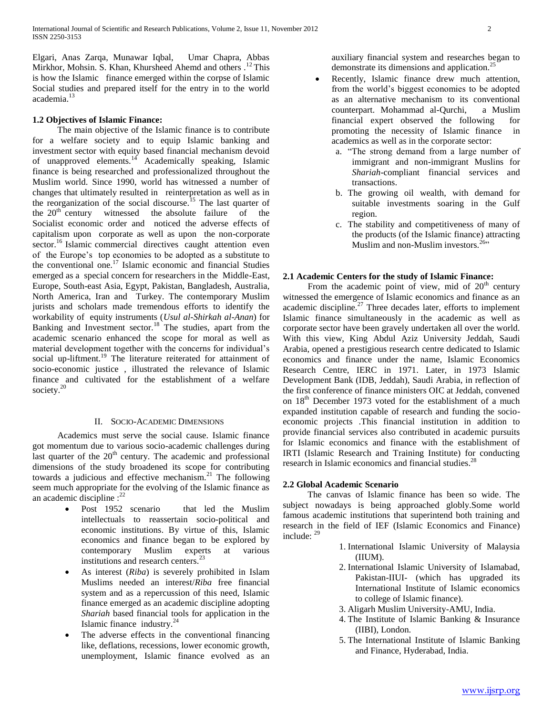Elgari, Anas Zarqa, Munawar Iqbal, Umar Chapra, Abbas Mirkhor, Mohsin. S. Khan, Khursheed Ahemd and others .<sup>12</sup>This is how the Islamic finance emerged within the corpse of Islamic Social studies and prepared itself for the entry in to the world academia.<sup>13</sup>

# **1.2 Objectives of Islamic Finance:**

 The main objective of the Islamic finance is to contribute for a welfare society and to equip Islamic banking and investment sector with equity based financial mechanism devoid of unapproved elements.<sup>14</sup> Academically speaking, Islamic finance is being researched and professionalized throughout the Muslim world. Since 1990, world has witnessed a number of changes that ultimately resulted in reinterpretation as well as in the reorganization of the social discourse.<sup>15</sup> The last quarter of the  $20<sup>th</sup>$  century witnessed the absolute failure of the Socialist economic order and noticed the adverse effects of capitalism upon corporate as well as upon the non-corporate sector.<sup>16</sup> Islamic commercial directives caught attention even of the Europe"s top economies to be adopted as a substitute to the conventional one.<sup>17</sup> Islamic economic and financial Studies emerged as a special concern for researchers in the Middle-East, Europe, South-east Asia, Egypt, Pakistan, Bangladesh, Australia, North America, Iran and Turkey. The contemporary Muslim jurists and scholars made tremendous efforts to identify the workability of equity instruments (*Usul al-Shirkah al-Anan*) for Banking and Investment sector.<sup>18</sup> The studies, apart from the academic scenario enhanced the scope for moral as well as material development together with the concerns for individual"s social up-liftment.<sup>19</sup> The literature reiterated for attainment of socio-economic justice , illustrated the relevance of Islamic finance and cultivated for the establishment of a welfare society.<sup>20</sup>

#### II. SOCIO-ACADEMIC DIMENSIONS

 Academics must serve the social cause. Islamic finance got momentum due to various socio-academic challenges during last quarter of the  $20<sup>th</sup>$  century. The academic and professional dimensions of the study broadened its scope for contributing towards a judicious and effective mechanism.<sup>21</sup> The following seem much appropriate for the evolving of the Islamic finance as an academic discipline  $:$ <sup>22</sup>

- Post 1952 scenario that led the Muslim intellectuals to reassertain socio-political and economic institutions. By virtue of this, Islamic economics and finance began to be explored by contemporary Muslim experts at various institutions and research centers.<sup>23</sup>
- As interest (*Riba*) is severely prohibited in Islam Muslims needed an interest/*Riba* free financial system and as a repercussion of this need, Islamic finance emerged as an academic discipline adopting *Shariah* based financial tools for application in the Islamic finance industry. $^{24}$
- The adverse effects in the conventional financing like, deflations, recessions, lower economic growth, unemployment, Islamic finance evolved as an

auxiliary financial system and researches began to demonstrate its dimensions and application.<sup>2</sup>

- Recently, Islamic finance drew much attention, from the world"s biggest economies to be adopted as an alternative mechanism to its conventional counterpart. Mohammad al-Qurchi, a Muslim financial expert observed the following for promoting the necessity of Islamic finance in academics as well as in the corporate sector:
	- a. "The strong demand from a large number of immigrant and non-immigrant Muslins for *Shariah*-compliant financial services and transactions.
	- b. The growing oil wealth, with demand for suitable investments soaring in the Gulf region.
	- c. The stability and competitiveness of many of the products (of the Islamic finance) attracting Muslim and non-Muslim investors.  $26$ <sup>26</sup>

#### **2.1 Academic Centers for the study of Islamic Finance:**

From the academic point of view, mid of  $20<sup>th</sup>$  century witnessed the emergence of Islamic economics and finance as an academic discipline. $27$  Three decades later, efforts to implement Islamic finance simultaneously in the academic as well as corporate sector have been gravely undertaken all over the world. With this view, King Abdul Aziz University Jeddah, Saudi Arabia, opened a prestigious research centre dedicated to Islamic economics and finance under the name, Islamic Economics Research Centre, IERC in 1971. Later, in 1973 Islamic Development Bank (IDB, Jeddah), Saudi Arabia, in reflection of the first conference of finance ministers OIC at Jeddah, convened on  $18<sup>th</sup>$  December 1973 voted for the establishment of a much expanded institution capable of research and funding the socioeconomic projects .This financial institution in addition to provide financial services also contributed in academic pursuits for Islamic economics and finance with the establishment of IRTI (Islamic Research and Training Institute) for conducting research in Islamic economics and financial studies.<sup>28</sup>

#### **2.2 Global Academic Scenario**

 The canvas of Islamic finance has been so wide. The subject nowadays is being approached globly.Some world famous academic institutions that superintend both training and research in the field of IEF (Islamic Economics and Finance) include: <sup>29</sup>

- 1. International Islamic University of Malaysia (IIUM).
- 2. International Islamic University of Islamabad, Pakistan-IIUI- (which has upgraded its International Institute of Islamic economics to college of Islamic finance).
- 3. Aligarh Muslim University-AMU, India.
- 4. The Institute of Islamic Banking & Insurance (IIBI), London.
- 5. The International Institute of Islamic Banking and Finance, Hyderabad, India.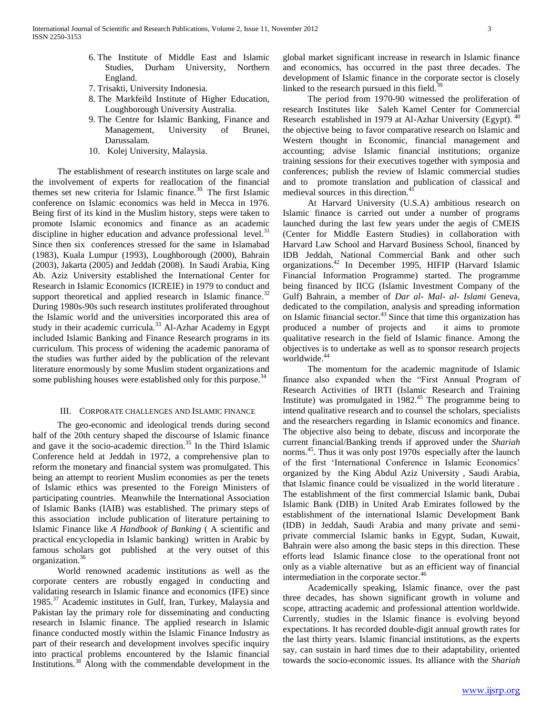- 6. The Institute of Middle East and Islamic Studies, Durham University, Northern England.
- 7. Trisakti, University Indonesia.
- 8. The Markfeild Institute of Higher Education, Loughborough University Australia.
- 9. The Centre for Islamic Banking, Finance and Management, University of Brunei, Darussalam.
- 10. Kolej University, Malaysia.

 The establishment of research institutes on large scale and the involvement of experts for reallocation of the financial themes set new criteria for Islamic finance.<sup>30.</sup> The first Islamic conference on Islamic economics was held in Mecca in 1976. Being first of its kind in the Muslim history, steps were taken to promote Islamic economics and finance as an academic discipline in higher education and advance professional level.<sup>31</sup> Since then six conferences stressed for the same in Islamabad (1983), Kuala Lumpur (1993), Loughborough (2000), Bahrain (2003), Jakarta (2005) and Jeddah (2008). In Saudi Arabia, King Ab. Aziz University established the International Center for Research in Islamic Economics (ICREIE) in 1979 to conduct and support theoretical and applied research in Islamic finance.<sup>32</sup> During 1980s-90s such research institutes proliferated throughout the Islamic world and the universities incorporated this area of study in their academic curricula.<sup>33</sup> Al-Azhar Academy in Egypt included Islamic Banking and Finance Research programs in its curriculum. This process of widening the academic panorama of the studies was further aided by the publication of the relevant literature enormously by some Muslim student organizations and some publishing houses were established only for this purpose.<sup>34</sup>

#### III. CORPORATE CHALLENGES AND ISLAMIC FINANCE

 The geo-economic and ideological trends during second half of the 20th century shaped the discourse of Islamic finance and gave it the socio-academic direction.<sup>35</sup> In the Third Islamic Conference held at Jeddah in 1972, a comprehensive plan to reform the monetary and financial system was promulgated. This being an attempt to reorient Muslim economies as per the tenets of Islamic ethics was presented to the Foreign Ministers of participating countries. Meanwhile the International Association of Islamic Banks (IAIB) was established. The primary steps of this association include publication of literature pertaining to Islamic Finance like *A Handbook of Banking* ( A scientific and practical encyclopedia in Islamic banking) written in Arabic by famous scholars got published at the very outset of this organization.<sup>36</sup>

 World renowned academic institutions as well as the corporate centers are robustly engaged in conducting and validating research in Islamic finance and economics (IFE) since 1985.<sup>37</sup> Academic institutes in Gulf, Iran, Turkey, Malaysia and Pakistan lay the primary role for disseminating and conducting research in Islamic finance. The applied research in Islamic finance conducted mostly within the Islamic Finance Industry as part of their research and development involves specific inquiry into practical problems encountered by the Islamic financial Institutions.<sup>38</sup> Along with the commendable development in the

global market significant increase in research in Islamic finance and economics, has occurred in the past three decades. The development of Islamic finance in the corporate sector is closely linked to the research pursued in this field.<sup>39</sup>

 The period from 1970-90 witnessed the proliferation of research Institutes like Saleh Kamel Center for Commercial Research established in 1979 at Al-Azhar University (Egypt). <sup>40</sup> the objective being to favor comparative research on Islamic and Western thought in Economic, financial management and accounting; advise Islamic financial institutions; organize training sessions for their executives together with symposia and conferences; publish the review of Islamic commercial studies and to promote translation and publication of classical and medieval sources in this direction.<sup>4</sup>

 At Harvard University (U.S.A) ambitious research on Islamic finance is carried out under a number of programs launched during the last few years under the aegis of CMEIS (Center for Middle Eastern Studies) in collaboration with Harvard Law School and Harvard Business School, financed by IDB Jeddah, National Commercial Bank and other such organizations.<sup>42</sup> In December 1995, HIFIP (Harvard Islamic Financial Information Programme) started. The programme being financed by IICG (Islamic Investment Company of the Gulf) Bahrain, a member of *Dar al- Mal- al- Islami* Geneva, dedicated to the compilation, analysis and spreading information on Islamic financial sector.<sup>43</sup> Since that time this organization has produced a number of projects and it aims to promote qualitative research in the field of Islamic finance. Among the objectives is to undertake as well as to sponsor research projects worldwide.<sup>44</sup>

 The momentum for the academic magnitude of Islamic finance also expanded when the "First Annual Program of Research Activities of IRTI (Islamic Research and Training Institute) was promulgated in  $1982<sup>45</sup>$  The programme being to intend qualitative research and to counsel the scholars, specialists and the researchers regarding in Islamic economics and finance. The objective also being to debate, discuss and incorporate the current financial/Banking trends if approved under the *Shariah* norms.<sup>45</sup>. Thus it was only post 1970s especially after the launch of the first "International Conference in Islamic Economics" organized by the King Abdul Aziz University , Saudi Arabia, that Islamic finance could be visualized in the world literature . The establishment of the first commercial Islamic bank, Dubai Islamic Bank (DIB) in United Arab Emirates followed by the establishment of the international Islamic Development Bank (IDB) in Jeddah, Saudi Arabia and many private and semiprivate commercial Islamic banks in Egypt, Sudan, Kuwait, Bahrain were also among the basic steps in this direction. These efforts lead Islamic finance close to the operational front not only as a viable alternative but as an efficient way of financial intermediation in the corporate sector.<sup>46</sup>

 Academically speaking, Islamic finance, over the past three decades, has shown significant growth in volume and scope, attracting academic and professional attention worldwide. Currently, studies in the Islamic finance is evolving beyond expectations. It has recorded double-digit annual growth rates for the last thirty years. Islamic financial institutions, as the experts say, can sustain in hard times due to their adaptability, oriented towards the socio-economic issues. Its alliance with the *Shariah*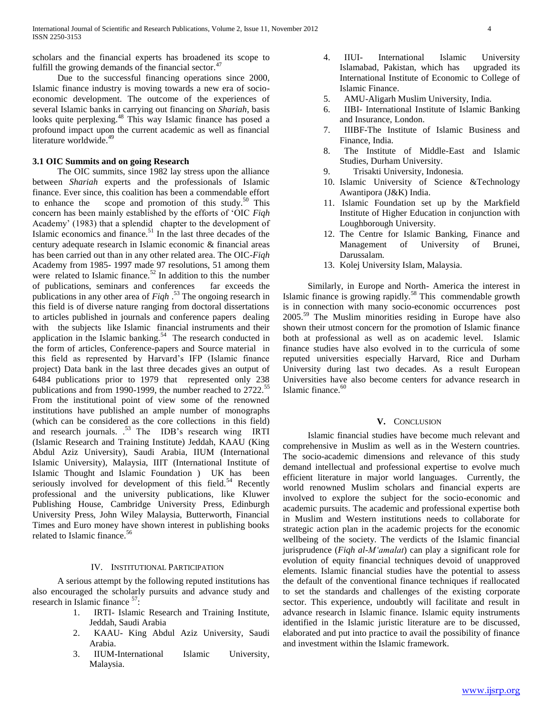scholars and the financial experts has broadened its scope to fulfill the growing demands of the financial sector.<sup>47</sup>

 Due to the successful financing operations since 2000, Islamic finance industry is moving towards a new era of socioeconomic development. The outcome of the experiences of several Islamic banks in carrying out financing on *Shariah*, basis looks quite perplexing.<sup>48</sup> This way Islamic finance has posed a profound impact upon the current academic as well as financial literature worldwide.<sup>49</sup>

#### **3.1 OIC Summits and on going Research**

 The OIC summits, since 1982 lay stress upon the alliance between *Shariah* experts and the professionals of Islamic finance. Ever since, this coalition has been a commendable effort to enhance the scope and promotion of this study.<sup>50</sup> This concern has been mainly established by the efforts of "OIC *Fiqh* Academy" (1983) that a splendid chapter to the development of Islamic economics and finance. $51$  In the last three decades of the century adequate research in Islamic economic & financial areas has been carried out than in any other related area. The OIC-*Fiqh* Academy from 1985- 1997 made 97 resolutions, 51 among them were related to Islamic finance.<sup>52</sup> In addition to this the number of publications, seminars and conferences far exceeds the publications in any other area of *Fiqh* . <sup>53</sup> The ongoing research in this field is of diverse nature ranging from doctoral dissertations to articles published in journals and conference papers dealing with the subjects like Islamic financial instruments and their application in the Islamic banking.<sup>54</sup> The research conducted in the form of articles, Conference-papers and Source material in this field as represented by Harvard"s IFP (Islamic finance project) Data bank in the last three decades gives an output of 6484 publications prior to 1979 that represented only 238 publications and from 1990-1999, the number reached to 2722.<sup>55</sup> From the institutional point of view some of the renowned institutions have published an ample number of monographs (which can be considered as the core collections in this field) and research journals. .<sup>53</sup> The IDB's research wing IRTI (Islamic Research and Training Institute) Jeddah, KAAU (King Abdul Aziz University), Saudi Arabia, IIUM (International Islamic University), Malaysia, IIIT (International Institute of Islamic Thought and Islamic Foundation ) UK has been seriously involved for development of this field.<sup>54</sup> Recently professional and the university publications, like Kluwer Publishing House, Cambridge University Press, Edinburgh University Press, John Wiley Malaysia, Butterworth, Financial Times and Euro money have shown interest in publishing books related to Islamic finance.<sup>56</sup>

#### IV. INSTITUTIONAL PARTICIPATION

 A serious attempt by the following reputed institutions has also encouraged the scholarly pursuits and advance study and research in Islamic finance  $57$ :

- 1. IRTI- Islamic Research and Training Institute, Jeddah, Saudi Arabia
- 2. KAAU- King Abdul Aziz University, Saudi Arabia.
- 3. IIUM-International Islamic University, Malaysia.
- 4. IIUI- International Islamic University Islamabad, Pakistan, which has upgraded its International Institute of Economic to College of Islamic Finance.
- 5. AMU-Aligarh Muslim University, India.
- 6. IIBI- International Institute of Islamic Banking and Insurance, London.
- 7. IIIBF-The Institute of Islamic Business and Finance, India.
- 8. The Institute of Middle-East and Islamic Studies, Durham University.
- 9. Trisakti University, Indonesia.
- 10. Islamic University of Science &Technology Awantipora (J&K) India.
- 11. Islamic Foundation set up by the Markfield Institute of Higher Education in conjunction with Loughborough University.
- 12. The Centre for Islamic Banking, Finance and Management of University of Brunei, Darussalam.
- 13. Kolej University Islam, Malaysia.

 Similarly, in Europe and North- America the interest in Islamic finance is growing rapidly.<sup>58</sup> This commendable growth is in connection with many socio-economic occurrences post 2005.<sup>59</sup> The Muslim minorities residing in Europe have also shown their utmost concern for the promotion of Islamic finance both at professional as well as on academic level. Islamic finance studies have also evolved in to the curricula of some reputed universities especially Harvard, Rice and Durham University during last two decades. As a result European Universities have also become centers for advance research in Islamic finance.<sup>60</sup>

#### **V.** CONCLUSION

 Islamic financial studies have become much relevant and comprehensive in Muslim as well as in the Western countries. The socio-academic dimensions and relevance of this study demand intellectual and professional expertise to evolve much efficient literature in major world languages. Currently, the world renowned Muslim scholars and financial experts are involved to explore the subject for the socio-economic and academic pursuits. The academic and professional expertise both in Muslim and Western institutions needs to collaborate for strategic action plan in the academic projects for the economic wellbeing of the society. The verdicts of the Islamic financial jurisprudence (*Fiqh al-M'amalat*) can play a significant role for evolution of equity financial techniques devoid of unapproved elements. Islamic financial studies have the potential to assess the default of the conventional finance techniques if reallocated to set the standards and challenges of the existing corporate sector. This experience, undoubtly will facilitate and result in advance research in Islamic finance. Islamic equity instruments identified in the Islamic juristic literature are to be discussed, elaborated and put into practice to avail the possibility of finance and investment within the Islamic framework.